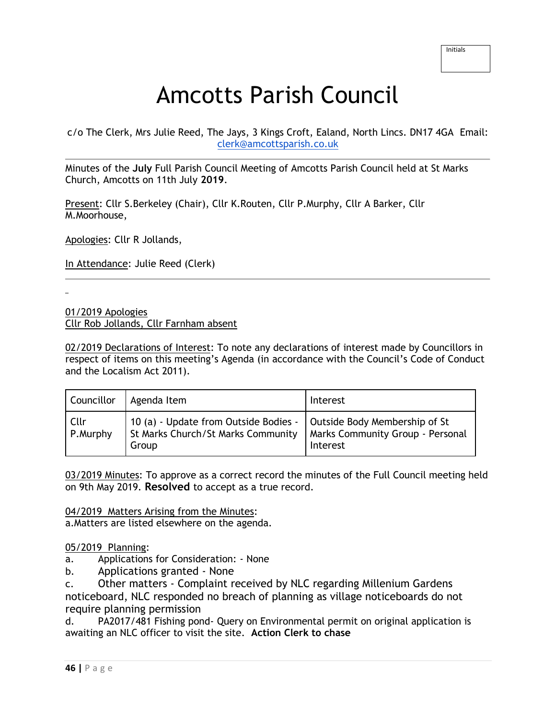# Amcotts Parish Council

c/o The Clerk, Mrs Julie Reed, The Jays, 3 Kings Croft, Ealand, North Lincs. DN17 4GA Email: [clerk@amcottsparish.co.uk](mailto:clerk@amcottsparish.co.uk)

Minutes of the **July** Full Parish Council Meeting of Amcotts Parish Council held at St Marks Church, Amcotts on 11th July **2019**.

Present: Cllr S.Berkeley (Chair), Cllr K.Routen, Cllr P.Murphy, Cllr A Barker, Cllr M.Moorhouse,

Apologies: Cllr R Jollands,

In Attendance: Julie Reed (Clerk)

01/2019 Apologies

Cllr Rob Jollands, Cllr Farnham absent

02/2019 Declarations of Interest: To note any declarations of interest made by Councillors in respect of items on this meeting's Agenda (in accordance with the Council's Code of Conduct and the Localism Act 2011).

| Councillor       | Agenda Item                                                                                                                                             | Interest |
|------------------|---------------------------------------------------------------------------------------------------------------------------------------------------------|----------|
| Cllr<br>P.Murphy | 10 (a) - Update from Outside Bodies -   Outside Body Membership of St<br>St Marks Church/St Marks Community   Marks Community Group - Personal<br>Group | Interest |

03/2019 Minutes: To approve as a correct record the minutes of the Full Council meeting held on 9th May 2019. **Resolved** to accept as a true record.

04/2019 Matters Arising from the Minutes:

a.Matters are listed elsewhere on the agenda.

05/2019 Planning:

a. Applications for Consideration: - None

b. Applications granted - None

c. Other matters - Complaint received by NLC regarding Millenium Gardens noticeboard, NLC responded no breach of planning as village noticeboards do not require planning permission

d. PA2017/481 Fishing pond- Query on Environmental permit on original application is awaiting an NLC officer to visit the site. **Action Clerk to chase**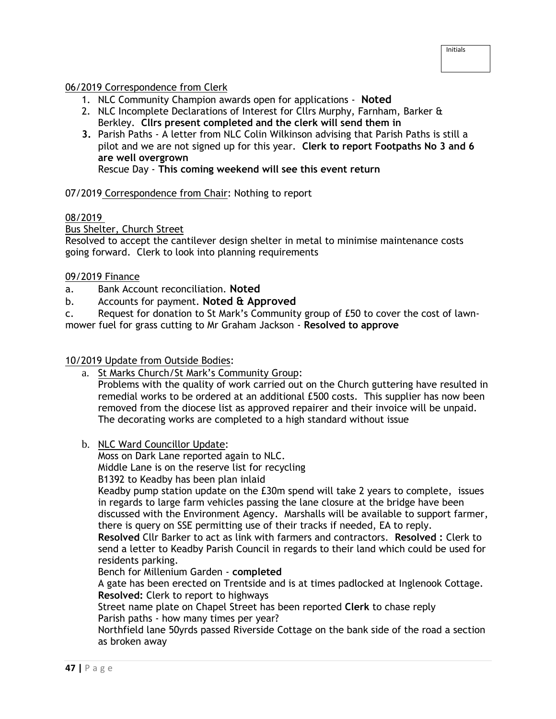## 06/2019 Correspondence from Clerk

- 1. NLC Community Champion awards open for applications **Noted**
- 2. NLC Incomplete Declarations of Interest for Cllrs Murphy, Farnham, Barker & Berkley. **Cllrs present completed and the clerk will send them in**
- **3.** Parish Paths A letter from NLC Colin Wilkinson advising that Parish Paths is still a pilot and we are not signed up for this year. **Clerk to report Footpaths No 3 and 6 are well overgrown**

Rescue Day - **This coming weekend will see this event return**

### 07/2019 Correspondence from Chair: Nothing to report

## 08/2019

Bus Shelter, Church Street

Resolved to accept the cantilever design shelter in metal to minimise maintenance costs going forward. Clerk to look into planning requirements

### 09/2019 Finance

- a. Bank Account reconciliation. **Noted**
- b. Accounts for payment. **Noted & Approved**
- c. Request for donation to St Mark's Community group of £50 to cover the cost of lawnmower fuel for grass cutting to Mr Graham Jackson - **Resolved to approve**

#### 10/2019 Update from Outside Bodies:

- a. St Marks Church/St Mark's Community Group: Problems with the quality of work carried out on the Church guttering have resulted in remedial works to be ordered at an additional £500 costs. This supplier has now been removed from the diocese list as approved repairer and their invoice will be unpaid. The decorating works are completed to a high standard without issue
- b. NLC Ward Councillor Update:

Moss on Dark Lane reported again to NLC.

Middle Lane is on the reserve list for recycling

B1392 to Keadby has been plan inlaid

Keadby pump station update on the £30m spend will take 2 years to complete, issues in regards to large farm vehicles passing the lane closure at the bridge have been discussed with the Environment Agency. Marshalls will be available to support farmer, there is query on SSE permitting use of their tracks if needed, EA to reply.

**Resolved** Cllr Barker to act as link with farmers and contractors. **Resolved :** Clerk to send a letter to Keadby Parish Council in regards to their land which could be used for residents parking.

Bench for Millenium Garden - **completed**

A gate has been erected on Trentside and is at times padlocked at Inglenook Cottage. **Resolved:** Clerk to report to highways

Street name plate on Chapel Street has been reported **Clerk** to chase reply Parish paths - how many times per year?

Northfield lane 50yrds passed Riverside Cottage on the bank side of the road a section as broken away